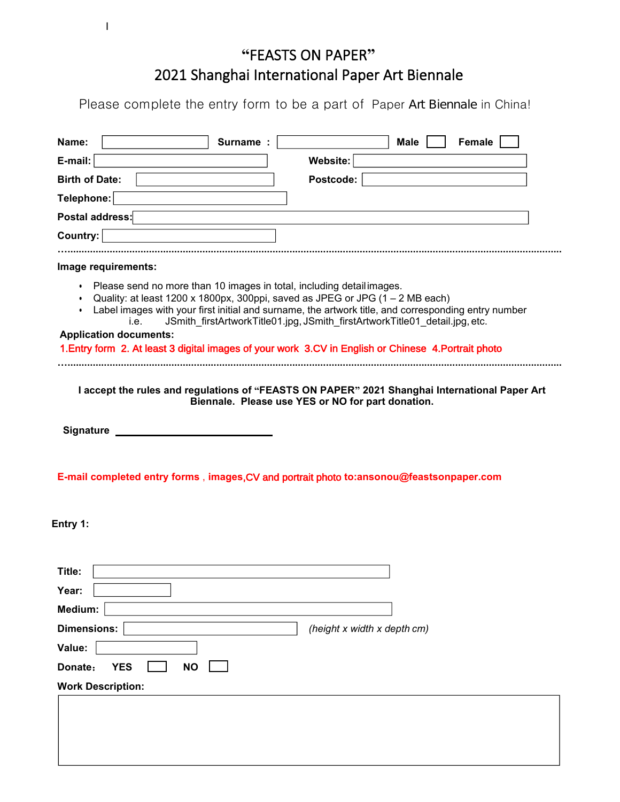## **"**FEASTS ON PAPER**" EXECTS ON PAPER**<br>
2021 Shanghai International Paper Art Biennale<br>
2021 Shanghai International Paper Art Biennale in China!<br>
2021 Surname : **Alternational Paper Art Biennale in China!**<br>
30 Surname : **Alternational Paper Ar EXECTS ON PAPER"**<br> **Please complete the entry form to be a part of Paper Art Biennale in China!**<br> **e:** Surname : Male T Female T Female T Surname :

| "FEASTS ON PAPER"<br>2021 Shanghai International Paper Art Biennale<br>Please complete the entry form to be a part of Paper Art Biennale in China!<br>Surname :<br><b>Female</b><br>Name:<br><b>Male</b><br>Website:<br>E-mail:<br>Postcode:<br><b>Birth of Date:</b>                                                                                                                                                              |
|------------------------------------------------------------------------------------------------------------------------------------------------------------------------------------------------------------------------------------------------------------------------------------------------------------------------------------------------------------------------------------------------------------------------------------|
|                                                                                                                                                                                                                                                                                                                                                                                                                                    |
|                                                                                                                                                                                                                                                                                                                                                                                                                                    |
|                                                                                                                                                                                                                                                                                                                                                                                                                                    |
|                                                                                                                                                                                                                                                                                                                                                                                                                                    |
|                                                                                                                                                                                                                                                                                                                                                                                                                                    |
|                                                                                                                                                                                                                                                                                                                                                                                                                                    |
|                                                                                                                                                                                                                                                                                                                                                                                                                                    |
| Telephone:                                                                                                                                                                                                                                                                                                                                                                                                                         |
| Postal address:                                                                                                                                                                                                                                                                                                                                                                                                                    |
| Country:                                                                                                                                                                                                                                                                                                                                                                                                                           |
| Image requirements:                                                                                                                                                                                                                                                                                                                                                                                                                |
| • Quality: at least 1200 x 1800px, 300ppi, saved as JPEG or JPG $(1 – 2 \text{ MB each})$<br>• Label images with your first initial and surname, the artwork title, and corresponding entry number<br>JSmith_firstArtworkTitle01.jpg, JSmith_firstArtworkTitle01_detail.jpg, etc.<br>i.e.<br><b>Application documents:</b><br>1. Entry form 2. At least 3 digital images of your work 3.CV in English or Chinese 4. Portrait photo |
|                                                                                                                                                                                                                                                                                                                                                                                                                                    |
| I accept the rules and regulations of "FEASTS ON PAPER" 2021 Shanghai International Paper Art<br>Biennale. Please use YES or NO for part donation.                                                                                                                                                                                                                                                                                 |
| <b>Signature</b><br>E-mail completed entry forms, images, CV and portrait photo to:ansonou@feastsonpaper.com<br>Entry 1:                                                                                                                                                                                                                                                                                                           |
|                                                                                                                                                                                                                                                                                                                                                                                                                                    |
|                                                                                                                                                                                                                                                                                                                                                                                                                                    |
|                                                                                                                                                                                                                                                                                                                                                                                                                                    |
|                                                                                                                                                                                                                                                                                                                                                                                                                                    |
| (height x width x depth cm)                                                                                                                                                                                                                                                                                                                                                                                                        |
| Title:<br>Year:<br>Medium:<br><b>Dimensions:</b><br>Value:<br>Donate:<br><b>YES</b><br><b>NO</b>                                                                                                                                                                                                                                                                                                                                   |